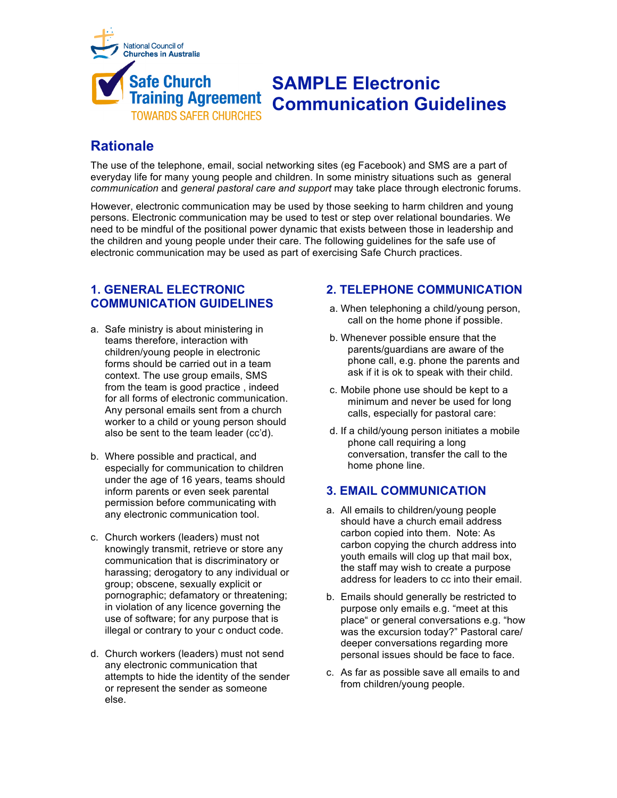

# **Rationale**

The use of the telephone, email, social networking sites (eg Facebook) and SMS are a part of everyday life for many young people and children. In some ministry situations such as general *communication* and *general pastoral care and support* may take place through electronic forums.

However, electronic communication may be used by those seeking to harm children and young persons. Electronic communication may be used to test or step over relational boundaries. We need to be mindful of the positional power dynamic that exists between those in leadership and the children and young people under their care. The following guidelines for the safe use of electronic communication may be used as part of exercising Safe Church practices.

# **1. GENERAL ELECTRONIC COMMUNICATION GUIDELINES**

- a. Safe ministry is about ministering in teams therefore, interaction with children/young people in electronic forms should be carried out in a team context. The use group emails, SMS from the team is good practice , indeed for all forms of electronic communication. Any personal emails sent from a church worker to a child or young person should also be sent to the team leader (cc'd).
- b. Where possible and practical, and especially for communication to children under the age of 16 years, teams should inform parents or even seek parental permission before communicating with any electronic communication tool.
- c. Church workers (leaders) must not knowingly transmit, retrieve or store any communication that is discriminatory or harassing; derogatory to any individual or group; obscene, sexually explicit or pornographic; defamatory or threatening; in violation of any licence governing the use of software; for any purpose that is illegal or contrary to your c onduct code.
- d. Church workers (leaders) must not send any electronic communication that attempts to hide the identity of the sender or represent the sender as someone else.

# **2. TELEPHONE COMMUNICATION**

- a. When telephoning a child/young person, call on the home phone if possible.
- b. Whenever possible ensure that the parents/guardians are aware of the phone call, e.g. phone the parents and ask if it is ok to speak with their child.
- c. Mobile phone use should be kept to a minimum and never be used for long calls, especially for pastoral care:
- d. If a child/young person initiates a mobile phone call requiring a long conversation, transfer the call to the home phone line.

## **3. EMAIL COMMUNICATION**

- a. All emails to children/young people should have a church email address carbon copied into them. Note: As carbon copying the church address into youth emails will clog up that mail box, the staff may wish to create a purpose address for leaders to cc into their email.
- b. Emails should generally be restricted to purpose only emails e.g. "meet at this place" or general conversations e.g. "how was the excursion today?" Pastoral care/ deeper conversations regarding more personal issues should be face to face.
- c. As far as possible save all emails to and from children/young people.